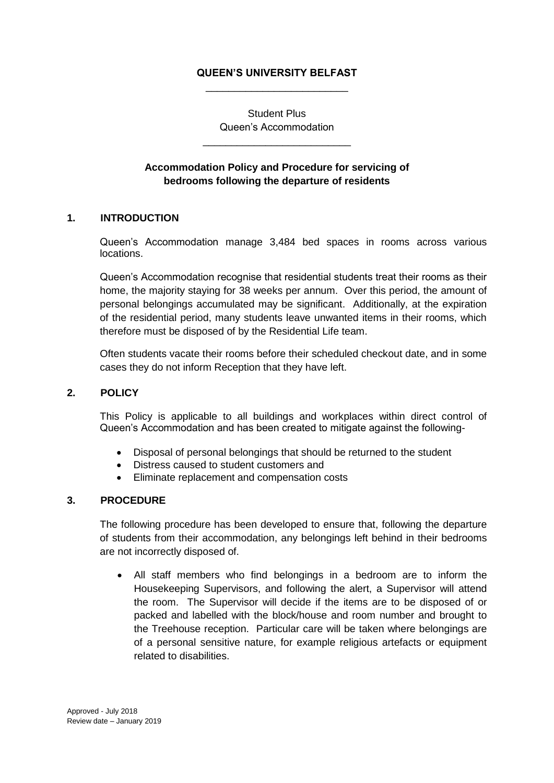## **QUEEN'S UNIVERSITY BELFAST** \_\_\_\_\_\_\_\_\_\_\_\_\_\_\_\_\_\_\_\_\_\_\_\_\_

Student Plus Queen's Accommodation

\_\_\_\_\_\_\_\_\_\_\_\_\_\_\_\_\_\_\_\_\_\_\_\_\_\_

# **Accommodation Policy and Procedure for servicing of bedrooms following the departure of residents**

### **1. INTRODUCTION**

Queen's Accommodation manage 3,484 bed spaces in rooms across various locations.

Queen's Accommodation recognise that residential students treat their rooms as their home, the majority staying for 38 weeks per annum. Over this period, the amount of personal belongings accumulated may be significant. Additionally, at the expiration of the residential period, many students leave unwanted items in their rooms, which therefore must be disposed of by the Residential Life team.

Often students vacate their rooms before their scheduled checkout date, and in some cases they do not inform Reception that they have left.

#### **2. POLICY**

This Policy is applicable to all buildings and workplaces within direct control of Queen's Accommodation and has been created to mitigate against the following-

- Disposal of personal belongings that should be returned to the student
- Distress caused to student customers and
- Eliminate replacement and compensation costs

#### **3. PROCEDURE**

The following procedure has been developed to ensure that, following the departure of students from their accommodation, any belongings left behind in their bedrooms are not incorrectly disposed of.

 All staff members who find belongings in a bedroom are to inform the Housekeeping Supervisors, and following the alert, a Supervisor will attend the room. The Supervisor will decide if the items are to be disposed of or packed and labelled with the block/house and room number and brought to the Treehouse reception. Particular care will be taken where belongings are of a personal sensitive nature, for example religious artefacts or equipment related to disabilities.